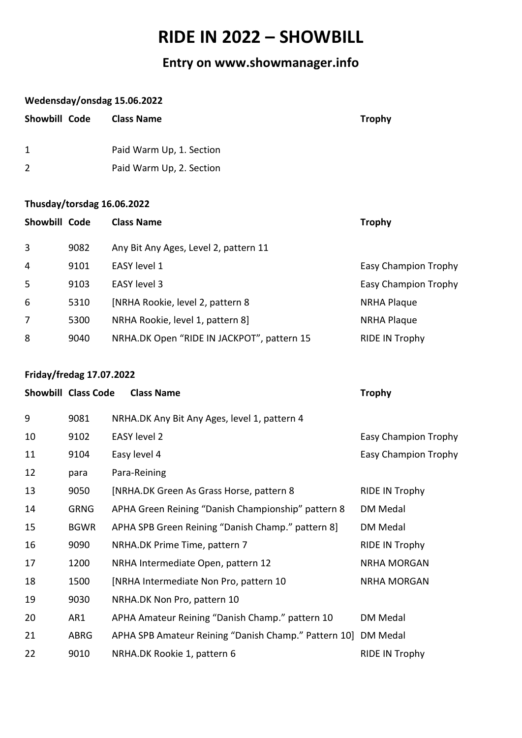# **RIDE IN 2022 – SHOWBILL**

# **Entry on www.showmanager.info**

#### **Wedensday/onsdag 15.06.2022**

| Showbill Code | <b>Class Name</b>        | <b>Trophy</b> |
|---------------|--------------------------|---------------|
| 1             | Paid Warm Up, 1. Section |               |
|               | Paid Warm Up, 2. Section |               |

## **Thusday/torsdag 16.06.2022**

| Showbill Code  |      | <b>Class Name</b>                          | <b>Trophy</b>               |
|----------------|------|--------------------------------------------|-----------------------------|
| 3              | 9082 | Any Bit Any Ages, Level 2, pattern 11      |                             |
| $\overline{4}$ | 9101 | EASY level 1                               | <b>Easy Champion Trophy</b> |
| 5              | 9103 | EASY level 3                               | <b>Easy Champion Trophy</b> |
| 6              | 5310 | [NRHA Rookie, level 2, pattern 8           | <b>NRHA Plaque</b>          |
| 7              | 5300 | NRHA Rookie, level 1, pattern 8]           | <b>NRHA Plaque</b>          |
| 8              | 9040 | NRHA.DK Open "RIDE IN JACKPOT", pattern 15 | <b>RIDE IN Trophy</b>       |
|                |      |                                            |                             |

#### **Friday/fredag 17.07.2022**

|    | <b>Showbill Class Code</b> | <b>Class Name</b>                                    | <b>Trophy</b>               |
|----|----------------------------|------------------------------------------------------|-----------------------------|
| 9  | 9081                       | NRHA.DK Any Bit Any Ages, level 1, pattern 4         |                             |
| 10 | 9102                       | <b>EASY level 2</b>                                  | <b>Easy Champion Trophy</b> |
| 11 | 9104                       | Easy level 4                                         | <b>Easy Champion Trophy</b> |
| 12 | para                       | Para-Reining                                         |                             |
| 13 | 9050                       | [NRHA.DK Green As Grass Horse, pattern 8             | <b>RIDE IN Trophy</b>       |
| 14 | <b>GRNG</b>                | APHA Green Reining "Danish Championship" pattern 8   | DM Medal                    |
| 15 | <b>BGWR</b>                | APHA SPB Green Reining "Danish Champ." pattern 8     | DM Medal                    |
| 16 | 9090                       | NRHA.DK Prime Time, pattern 7                        | RIDE IN Trophy              |
| 17 | 1200                       | NRHA Intermediate Open, pattern 12                   | <b>NRHA MORGAN</b>          |
| 18 | 1500                       | [NRHA Intermediate Non Pro, pattern 10               | <b>NRHA MORGAN</b>          |
| 19 | 9030                       | NRHA.DK Non Pro, pattern 10                          |                             |
| 20 | AR1                        | APHA Amateur Reining "Danish Champ." pattern 10      | DM Medal                    |
| 21 | ABRG                       | APHA SPB Amateur Reining "Danish Champ." Pattern 10] | DM Medal                    |
| 22 | 9010                       | NRHA.DK Rookie 1, pattern 6                          | <b>RIDE IN Trophy</b>       |